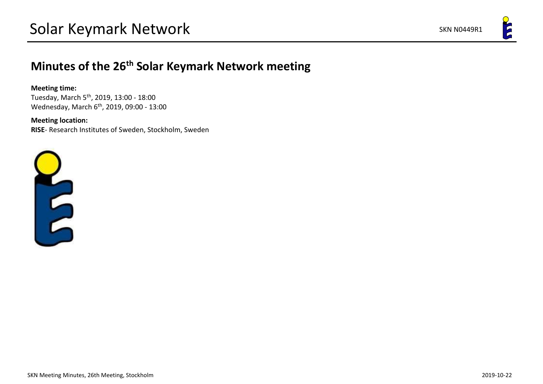# **Minutes of the 26th Solar Keymark Network meeting**

### **Meeting time:**

Tuesday, March 5th, 2019, 13:00 - 18:00 Wednesday, March 6th, 2019, 09:00 - 13:00

## **Meeting location:**

**RISE**- Research Institutes of Sweden, Stockholm, Sweden

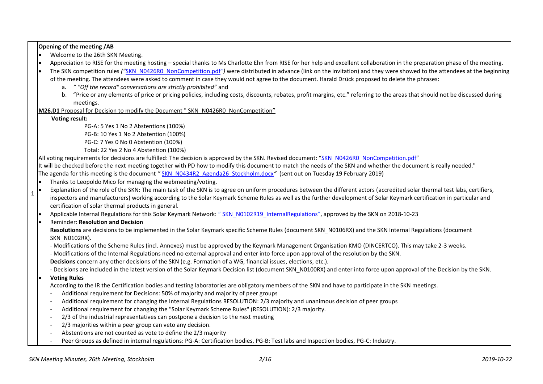**Opening of the meeting /AB**

- Welcome to the 26th SKN Meeting.
- $\bullet$  Appreciation to RISE for the meeting hosting special thanks to Ms Charlotte Ehn from RISE for her help and excellent collaboration in the preparation phase of the meeting.
- The SKN competition rules *("*[SKN\\_N0426R0\\_NonCompetition.pdf](http://www.estif.org/solarkeymark/Links/Internal_links/network/sknwebdoclist/SKN_N0426R0_NonCompetition.pdf)*")* were distributed in advance (link on the invitation) and they were showed to the attendees at the beginning
	- of the meeting. The attendees were asked to comment in case they would not agree to the document. Harald Drück proposed to delete the phrases:
		- a. *" "Off the record" conversations are strictly prohibited"* and
		- b. "Price or any elements of price or pricing policies, including costs, discounts, rebates, profit margins, etc." referring to the areas that should not be discussed during meetings.

**M26.D1** Proposal for Decision to modify the Document " SKN\_N0426R0\_NonCompetition"

#### **Voting result:**

PG-A: 5 Yes 1 No 2 Abstentions (100%) PG-B: 10 Yes 1 No 2 Abstention (100%) PG-C: 7 Yes 0 No 0 Abstention (100%) Total: 22 Yes 2 No 4 Abstention (100%)

All voting requirements for decisions are fulfilled: The decision is approved by the SKN. Revised document: "[SKN\\_N0426R0\\_NonCompetition.pdf](http://www.estif.org/solarkeymark/Links/Internal_links/network/sknwebdoclist/SKN_N0426R0_NonCompetition.pdf)" It will be checked before the next meeting together with PD how to modify this document to match the needs of the SKN and whether the document is really needed." The agenda for this meeting is the document *"* [SKN\\_N0434R2\\_Agenda26\\_Stockholm.docx](http://www.estif.org/solarkeymarknew/images/Files/190301/SKN_N0434R2_Agenda26_Stockholm.docx)*"* (sent out on Tuesday 19 February 2019)

- Thanks to Leopoldo Mico for managing the webmeeting/voting.
- Explanation of the role of the SKN: The main task of the SKN is to agree on uniform procedures between the different actors (accredited solar thermal test labs, certifiers, inspectors and manufacturers) working according to the Solar Keymark Scheme Rules as well as the further development of Solar Keymark certification in particular and certification of solar thermal products in general.
- Applicable Internal Regulations for this Solar Keymark Network: " [SKN\\_N0102R19\\_InternalRegulations](http://www.estif.org/solarkeymark/Links/Internal_links/network/sknwebdoclist/SKN_N0102R19_InternalRegulations.pdf)", approved by the SKN on 2018-10-23
- Reminder: **Resolution and Decision**

**Resolutions** are decisions to be implemented in the Solar Keymark specific Scheme Rules (document SKN\_N0106RX) and the SKN Internal Regulations (document SKN N0102RX).

- Modifications of the Scheme Rules (incl. Annexes) must be approved by the Keymark Management Organisation KMO (DINCERTCO). This may take 2-3 weeks.

- Modifications of the Internal Regulations need no external approval and enter into force upon approval of the resolution by the SKN.

**Decisions** concern any other decisions of the SKN (e.g. Formation of a WG, financial issues, elections, etc.).

- Decisions are included in the latest version of the Solar Keymark Decision list (document SKN\_N0100RX) and enter into force upon approval of the Decision by the SKN.

#### • **Voting Rules**

1

According to the IR the Certification bodies and testing laboratories are obligatory members of the SKN and have to participate in the SKN meetings.

- Additional requirement for Decisions: 50% of majority and majority of peer groups
- Additional requirement for changing the Internal Regulations RESOLUTION: 2/3 majority and unanimous decision of peer groups
- Additional requirement for changing the "Solar Keymark Scheme Rules" (RESOLUTION): 2/3 majority.
- 2/3 of the industrial representatives can postpone a decision to the next meeting
- 2/3 majorities within a peer group can veto any decision.
- Abstentions are not counted as vote to define the 2/3 majority
- Peer Groups as defined in internal regulations: PG-A: Certification bodies, PG-B: Test labs and Inspection bodies. PG-C: Industry.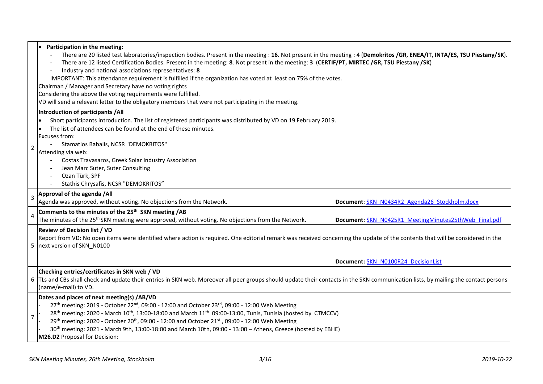|                | Participation in the meeting:<br>There are 20 listed test laboratories/inspection bodies. Present in the meeting: 16. Not present in the meeting: 4 (Demokritos /GR, ENEA/IT, INTA/ES, TSU Piestany/SK).<br>There are 12 listed Certification Bodies. Present in the meeting: 8. Not present in the meeting: 3 (CERTIF/PT, MIRTEC /GR, TSU Piestany /SK)<br>Industry and national associations representatives: 8<br>IMPORTANT: This attendance requirement is fulfilled if the organization has voted at least on 75% of the votes.<br>Chairman / Manager and Secretary have no voting rights<br>Considering the above the voting requirements were fulfilled.<br>VD will send a relevant letter to the obligatory members that were not participating in the meeting. |
|----------------|-------------------------------------------------------------------------------------------------------------------------------------------------------------------------------------------------------------------------------------------------------------------------------------------------------------------------------------------------------------------------------------------------------------------------------------------------------------------------------------------------------------------------------------------------------------------------------------------------------------------------------------------------------------------------------------------------------------------------------------------------------------------------|
| 2              | Introduction of participants / All<br>Short participants introduction. The list of registered participants was distributed by VD on 19 February 2019.<br>The list of attendees can be found at the end of these minutes.<br>Excuses from:<br>Stamatios Babalis, NCSR "DEMOKRITOS"<br>Attending via web:<br>Costas Travasaros, Greek Solar Industry Association<br>Jean Marc Suter, Suter Consulting<br>Ozan Türk, SPF<br>Stathis Chrysafis, NCSR "DEMOKRITOS"                                                                                                                                                                                                                                                                                                           |
| $\overline{3}$ | Approval of the agenda /All<br>Agenda was approved, without voting. No objections from the Network.<br>Document: SKN N0434R2 Agenda26 Stockholm.docx                                                                                                                                                                                                                                                                                                                                                                                                                                                                                                                                                                                                                    |
| 4              | Comments to the minutes of the 25 <sup>th</sup> SKN meeting / AB<br>The minutes of the 25 <sup>th</sup> SKN meeting were approved, without voting. No objections from the Network.<br>Document: SKN N0425R1 MeetingMinutes25thWeb Final.pdf                                                                                                                                                                                                                                                                                                                                                                                                                                                                                                                             |
|                | <b>Review of Decision list / VD</b><br>Report from VD: No open items were identified where action is required. One editorial remark was received concerning the update of the contents that will be considered in the<br>5 next version of SKN N0100<br>Document: SKN N0100R24 DecisionList                                                                                                                                                                                                                                                                                                                                                                                                                                                                             |
|                | Checking entries/certificates in SKN web / VD<br>6 TLs and CBs shall check and update their entries in SKN web. Moreover all peer groups should update their contacts in the SKN communication lists, by mailing the contact persons<br>(name/e-mail) to VD.                                                                                                                                                                                                                                                                                                                                                                                                                                                                                                            |
| $\overline{7}$ | Dates and places of next meeting(s) /AB/VD<br>27 <sup>th</sup> meeting: 2019 - October 22 <sup>nd</sup> , 09:00 - 12:00 and October 23 <sup>rd</sup> , 09:00 - 12:00 Web Meeting<br>28 <sup>th</sup> meeting: 2020 - March 10 <sup>th</sup> , 13:00-18:00 and March 11 <sup>th</sup> 09:00-13:00, Tunis, Tunisia (hosted by CTMCCV)<br>29th meeting: 2020 - October 20th, 09:00 - 12:00 and October 21st, 09:00 - 12:00 Web Meeting<br>30 <sup>th</sup> meeting: 2021 - March 9th, 13:00-18:00 and March 10th, 09:00 - 13:00 - Athens, Greece (hosted by EBHE)<br>M26.D2 Proposal for Decision:                                                                                                                                                                         |

÷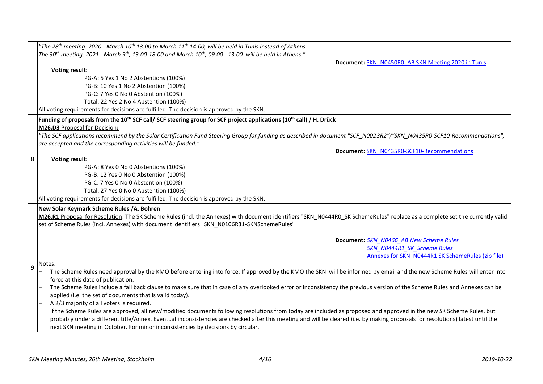|                  | "The 28 <sup>th</sup> meeting: 2020 - March 10 <sup>th</sup> 13:00 to March 11 <sup>th</sup> 14:00, will be held in Tunis instead of Athens.                                                                                                                                                                                                           |
|------------------|--------------------------------------------------------------------------------------------------------------------------------------------------------------------------------------------------------------------------------------------------------------------------------------------------------------------------------------------------------|
|                  | The 30 <sup>th</sup> meeting: 2021 - March 9 <sup>th</sup> , 13:00-18:00 and March 10 <sup>th</sup> , 09:00 - 13:00 will be held in Athens."                                                                                                                                                                                                           |
|                  | Document: SKN N0450R0 AB SKN Meeting 2020 in Tunis                                                                                                                                                                                                                                                                                                     |
|                  | <b>Voting result:</b>                                                                                                                                                                                                                                                                                                                                  |
|                  | PG-A: 5 Yes 1 No 2 Abstentions (100%)                                                                                                                                                                                                                                                                                                                  |
|                  | PG-B: 10 Yes 1 No 2 Abstention (100%)                                                                                                                                                                                                                                                                                                                  |
|                  | PG-C: 7 Yes 0 No 0 Abstention (100%)                                                                                                                                                                                                                                                                                                                   |
|                  | Total: 22 Yes 2 No 4 Abstention (100%)                                                                                                                                                                                                                                                                                                                 |
|                  | All voting requirements for decisions are fulfilled: The decision is approved by the SKN.                                                                                                                                                                                                                                                              |
|                  | Funding of proposals from the 10 <sup>th</sup> SCF call/ SCF steering group for SCF project applications (10 <sup>th</sup> call) / H. Drück                                                                                                                                                                                                            |
|                  | M26.D3 Proposal for Decision:                                                                                                                                                                                                                                                                                                                          |
|                  | "The SCF applications recommend by the Solar Certification Fund Steering Group for funding as described in document "SCF N0023R2"/"SKN N0435R0-SCF10-Recommendations",<br>are accepted and the corresponding activities will be funded."                                                                                                               |
|                  | Document: SKN N0435R0-SCF10-Recommendations                                                                                                                                                                                                                                                                                                            |
| 8                | <b>Voting result:</b>                                                                                                                                                                                                                                                                                                                                  |
|                  | PG-A: 8 Yes 0 No 0 Abstentions (100%)                                                                                                                                                                                                                                                                                                                  |
|                  | PG-B: 12 Yes 0 No 0 Abstention (100%)                                                                                                                                                                                                                                                                                                                  |
|                  | PG-C: 7 Yes 0 No 0 Abstention (100%)                                                                                                                                                                                                                                                                                                                   |
|                  | Total: 27 Yes 0 No 0 Abstention (100%)                                                                                                                                                                                                                                                                                                                 |
|                  | All voting requirements for decisions are fulfilled: The decision is approved by the SKN.                                                                                                                                                                                                                                                              |
|                  | New Solar Keymark Scheme Rules /A. Bohren                                                                                                                                                                                                                                                                                                              |
|                  | M26.R1 Proposal for Resolution: The SK Scheme Rules (incl. the Annexes) with document identifiers "SKN N0444R0 SK SchemeRules" replace as a complete set the currently valid                                                                                                                                                                           |
|                  | set of Scheme Rules (incl. Annexes) with document identifiers "SKN_N0106R31-SKNSchemeRules"                                                                                                                                                                                                                                                            |
|                  |                                                                                                                                                                                                                                                                                                                                                        |
|                  | Document: SKN N0466 AB New Scheme Rules                                                                                                                                                                                                                                                                                                                |
|                  | SKN N0444R1 SK Scheme Rules                                                                                                                                                                                                                                                                                                                            |
|                  | Annexes for SKN N0444R1 SK SchemeRules (zip file)                                                                                                                                                                                                                                                                                                      |
| $\boldsymbol{9}$ | Notes:                                                                                                                                                                                                                                                                                                                                                 |
|                  | The Scheme Rules need approval by the KMO before entering into force. If approved by the KMO the SKN will be informed by email and the new Scheme Rules will enter into                                                                                                                                                                                |
|                  | force at this date of publication.                                                                                                                                                                                                                                                                                                                     |
|                  | The Scheme Rules include a fall back clause to make sure that in case of any overlooked error or inconsistency the previous version of the Scheme Rules and Annexes can be                                                                                                                                                                             |
|                  | applied (i.e. the set of documents that is valid today).                                                                                                                                                                                                                                                                                               |
|                  | A 2/3 majority of all voters is required.                                                                                                                                                                                                                                                                                                              |
|                  | If the Scheme Rules are approved, all new/modified documents following resolutions from today are included as proposed and approved in the new SK Scheme Rules, but<br>probably under a different title/Annex. Eventual inconsistencies are checked after this meeting and will be cleared (i.e. by making proposals for resolutions) latest until the |
|                  | next SKN meeting in October. For minor inconsistencies by decisions by circular.                                                                                                                                                                                                                                                                       |
|                  |                                                                                                                                                                                                                                                                                                                                                        |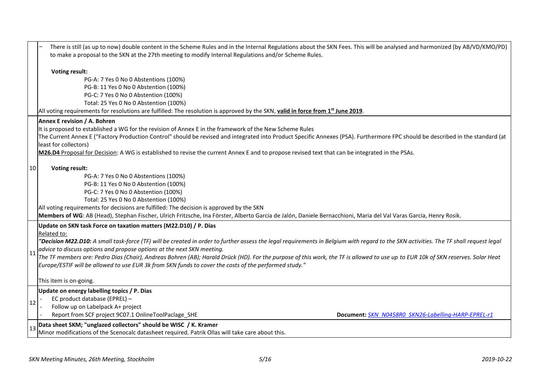|                 | There is still (as up to now) double content in the Scheme Rules and in the Internal Regulations about the SKN Fees. This will be analysed and harmonized (by AB/VD/KMO/PD)<br>to make a proposal to the SKN at the 27th meeting to modify Internal Regulations and/or Scheme Rules.                                                                                                                                                                                                                                                                                                                                                                                      |  |  |  |  |  |  |
|-----------------|---------------------------------------------------------------------------------------------------------------------------------------------------------------------------------------------------------------------------------------------------------------------------------------------------------------------------------------------------------------------------------------------------------------------------------------------------------------------------------------------------------------------------------------------------------------------------------------------------------------------------------------------------------------------------|--|--|--|--|--|--|
|                 | <b>Voting result:</b><br>PG-A: 7 Yes 0 No 0 Abstentions (100%)<br>PG-B: 11 Yes 0 No 0 Abstention (100%)<br>PG-C: 7 Yes 0 No 0 Abstention (100%)<br>Total: 25 Yes 0 No 0 Abstention (100%)<br>All voting requirements for resolutions are fulfilled: The resolution is approved by the SKN, valid in force from 1 <sup>st</sup> June 2019.                                                                                                                                                                                                                                                                                                                                 |  |  |  |  |  |  |
|                 | Annex E revision / A. Bohren<br>It is proposed to established a WG for the revision of Annex E in the framework of the New Scheme Rules<br>The Current Annex E ("Factory Production Control" should be revised and integrated into Product Specific Annexes (PSA). Furthermore FPC should be described in the standard (at<br>least for collectors)<br>M26.D4 Proposal for Decision: A WG is established to revise the current Annex E and to propose revised text that can be integrated in the PSAs.                                                                                                                                                                    |  |  |  |  |  |  |
| 10              | <b>Voting result:</b><br>PG-A: 7 Yes 0 No 0 Abstentions (100%)<br>PG-B: 11 Yes 0 No 0 Abstention (100%)<br>PG-C: 7 Yes 0 No 0 Abstention (100%)<br>Total: 25 Yes 0 No 0 Abstention (100%)<br>All voting requirements for decisions are fulfilled: The decision is approved by the SKN<br>Members of WG: AB (Head), Stephan Fischer, Ulrich Fritzsche, Ina Förster, Alberto Garcia de Jalón, Daniele Bernacchioni, Maria del Val Varas Garcia, Henry Rosik.                                                                                                                                                                                                                |  |  |  |  |  |  |
| $\overline{11}$ | Update on SKN task Force on taxation matters (M22.D10) / P. Dias<br>Related to:<br>"Decision M22.D10: A small task-force (TF) will be created in order to further assess the legal requirements in Belgium with regard to the SKN activities. The TF shall request legal<br>advice to discuss options and propose options at the next SKN meeting.<br>The TF members are: Pedro Dias (Chair), Andreas Bohren (AB); Harald Drück (HD). For the purpose of this work, the TF is allowed to use up to EUR 10k of SKN reserves. Solar Heat<br>Europe/ESTIF will be allowed to use EUR 3k from SKN funds to cover the costs of the performed study."<br>This item is on-going. |  |  |  |  |  |  |
| 12              | Update on energy labelling topics / P. Dias<br>EC product database (EPREL) -<br>Follow up on Labelpack A+ project<br>Report from SCF project 9C07.1 OnlineToolPaclage SHE<br>Document: SKN N0458R0 SKN26-Labelling-HARP-EPREL-r1                                                                                                                                                                                                                                                                                                                                                                                                                                          |  |  |  |  |  |  |
| 13              | Data sheet SKM; "unglazed collectors" should be WISC / K. Kramer<br>Minor modifications of the Scenocalc datasheet required. Patrik Ollas will take care about this.                                                                                                                                                                                                                                                                                                                                                                                                                                                                                                      |  |  |  |  |  |  |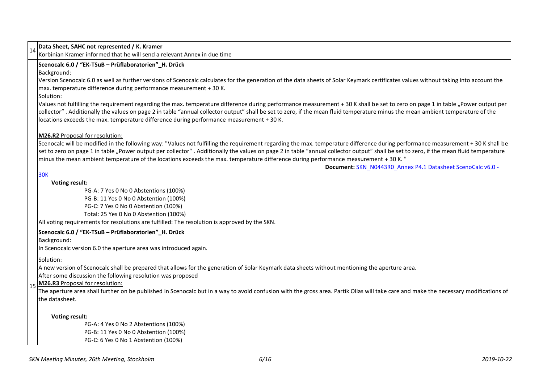| $\left  \begin{smallmatrix} 1 & 4 \ 1 & 4 \end{smallmatrix} \right $ Data Sheet, SAHC not represented / K. Kramer                                                                                                                                                                                                                                                                                                                                                                                                                                                                                                                                                                                                                                                                                                                                          |  |  |  |  |  |
|------------------------------------------------------------------------------------------------------------------------------------------------------------------------------------------------------------------------------------------------------------------------------------------------------------------------------------------------------------------------------------------------------------------------------------------------------------------------------------------------------------------------------------------------------------------------------------------------------------------------------------------------------------------------------------------------------------------------------------------------------------------------------------------------------------------------------------------------------------|--|--|--|--|--|
| Korbinian Kramer informed that he will send a relevant Annex in due time                                                                                                                                                                                                                                                                                                                                                                                                                                                                                                                                                                                                                                                                                                                                                                                   |  |  |  |  |  |
| Scenocalc 6.0 / "EK-TSuB - Prüflaboratorien" H. Drück                                                                                                                                                                                                                                                                                                                                                                                                                                                                                                                                                                                                                                                                                                                                                                                                      |  |  |  |  |  |
| Background:                                                                                                                                                                                                                                                                                                                                                                                                                                                                                                                                                                                                                                                                                                                                                                                                                                                |  |  |  |  |  |
| Version Scenocalc 6.0 as well as further versions of Scenocalc calculates for the generation of the data sheets of Solar Keymark certificates values without taking into account the                                                                                                                                                                                                                                                                                                                                                                                                                                                                                                                                                                                                                                                                       |  |  |  |  |  |
| max. temperature difference during performance measurement + 30 K.                                                                                                                                                                                                                                                                                                                                                                                                                                                                                                                                                                                                                                                                                                                                                                                         |  |  |  |  |  |
| Solution:                                                                                                                                                                                                                                                                                                                                                                                                                                                                                                                                                                                                                                                                                                                                                                                                                                                  |  |  |  |  |  |
| Values not fulfilling the requirement regarding the max. temperature difference during performance measurement + 30 K shall be set to zero on page 1 in table "Power output per                                                                                                                                                                                                                                                                                                                                                                                                                                                                                                                                                                                                                                                                            |  |  |  |  |  |
| collector". Additionally the values on page 2 in table "annual collector output" shall be set to zero, if the mean fluid temperature minus the mean ambient temperature of the                                                                                                                                                                                                                                                                                                                                                                                                                                                                                                                                                                                                                                                                             |  |  |  |  |  |
| locations exceeds the max. temperature difference during performance measurement + 30 K.                                                                                                                                                                                                                                                                                                                                                                                                                                                                                                                                                                                                                                                                                                                                                                   |  |  |  |  |  |
| M26.R2 Proposal for resolution:                                                                                                                                                                                                                                                                                                                                                                                                                                                                                                                                                                                                                                                                                                                                                                                                                            |  |  |  |  |  |
|                                                                                                                                                                                                                                                                                                                                                                                                                                                                                                                                                                                                                                                                                                                                                                                                                                                            |  |  |  |  |  |
|                                                                                                                                                                                                                                                                                                                                                                                                                                                                                                                                                                                                                                                                                                                                                                                                                                                            |  |  |  |  |  |
|                                                                                                                                                                                                                                                                                                                                                                                                                                                                                                                                                                                                                                                                                                                                                                                                                                                            |  |  |  |  |  |
|                                                                                                                                                                                                                                                                                                                                                                                                                                                                                                                                                                                                                                                                                                                                                                                                                                                            |  |  |  |  |  |
| <b>30K</b>                                                                                                                                                                                                                                                                                                                                                                                                                                                                                                                                                                                                                                                                                                                                                                                                                                                 |  |  |  |  |  |
| <b>Voting result:</b>                                                                                                                                                                                                                                                                                                                                                                                                                                                                                                                                                                                                                                                                                                                                                                                                                                      |  |  |  |  |  |
| PG-A: 7 Yes 0 No 0 Abstentions (100%)                                                                                                                                                                                                                                                                                                                                                                                                                                                                                                                                                                                                                                                                                                                                                                                                                      |  |  |  |  |  |
| PG-B: 11 Yes 0 No 0 Abstention (100%)                                                                                                                                                                                                                                                                                                                                                                                                                                                                                                                                                                                                                                                                                                                                                                                                                      |  |  |  |  |  |
| PG-C: 7 Yes 0 No 0 Abstention (100%)                                                                                                                                                                                                                                                                                                                                                                                                                                                                                                                                                                                                                                                                                                                                                                                                                       |  |  |  |  |  |
| Total: 25 Yes 0 No 0 Abstention (100%)                                                                                                                                                                                                                                                                                                                                                                                                                                                                                                                                                                                                                                                                                                                                                                                                                     |  |  |  |  |  |
| All voting requirements for resolutions are fulfilled: The resolution is approved by the SKN.                                                                                                                                                                                                                                                                                                                                                                                                                                                                                                                                                                                                                                                                                                                                                              |  |  |  |  |  |
| Scenocalc 6.0 / "EK-TSuB - Prüflaboratorien"_H. Drück                                                                                                                                                                                                                                                                                                                                                                                                                                                                                                                                                                                                                                                                                                                                                                                                      |  |  |  |  |  |
| Background:                                                                                                                                                                                                                                                                                                                                                                                                                                                                                                                                                                                                                                                                                                                                                                                                                                                |  |  |  |  |  |
| In Scenocalc version 6.0 the aperture area was introduced again.                                                                                                                                                                                                                                                                                                                                                                                                                                                                                                                                                                                                                                                                                                                                                                                           |  |  |  |  |  |
| Solution:                                                                                                                                                                                                                                                                                                                                                                                                                                                                                                                                                                                                                                                                                                                                                                                                                                                  |  |  |  |  |  |
| A new version of Scenocalc shall be prepared that allows for the generation of Solar Keymark data sheets without mentioning the aperture area.                                                                                                                                                                                                                                                                                                                                                                                                                                                                                                                                                                                                                                                                                                             |  |  |  |  |  |
| After some discussion the following resolution was proposed                                                                                                                                                                                                                                                                                                                                                                                                                                                                                                                                                                                                                                                                                                                                                                                                |  |  |  |  |  |
| 15 M26.R3 Proposal for resolution:                                                                                                                                                                                                                                                                                                                                                                                                                                                                                                                                                                                                                                                                                                                                                                                                                         |  |  |  |  |  |
|                                                                                                                                                                                                                                                                                                                                                                                                                                                                                                                                                                                                                                                                                                                                                                                                                                                            |  |  |  |  |  |
| lthe datasheet.                                                                                                                                                                                                                                                                                                                                                                                                                                                                                                                                                                                                                                                                                                                                                                                                                                            |  |  |  |  |  |
| <b>Voting result:</b>                                                                                                                                                                                                                                                                                                                                                                                                                                                                                                                                                                                                                                                                                                                                                                                                                                      |  |  |  |  |  |
|                                                                                                                                                                                                                                                                                                                                                                                                                                                                                                                                                                                                                                                                                                                                                                                                                                                            |  |  |  |  |  |
| PG-B: 11 Yes 0 No 0 Abstention (100%)                                                                                                                                                                                                                                                                                                                                                                                                                                                                                                                                                                                                                                                                                                                                                                                                                      |  |  |  |  |  |
| Scenocalc will be modified in the following way: "Values not fulfilling the requirement regarding the max. temperature difference during performance measurement + 30 K shall be<br>set to zero on page 1 in table "Power output per collector". Additionally the values on page 2 in table "annual collector output" shall be set to zero, if the mean fluid temperature<br>minus the mean ambient temperature of the locations exceeds the max. temperature difference during performance measurement + 30 K. "<br>Document: SKN N0443R0 Annex P4.1 Datasheet ScenoCalc v6.0 -<br>The aperture area shall further on be published in Scenocalc but in a way to avoid confusion with the gross area. Partik Ollas will take care and make the necessary modifications of<br>PG-A: 4 Yes 0 No 2 Abstentions (100%)<br>PG-C: 6 Yes 0 No 1 Abstention (100%) |  |  |  |  |  |

 $\blacksquare$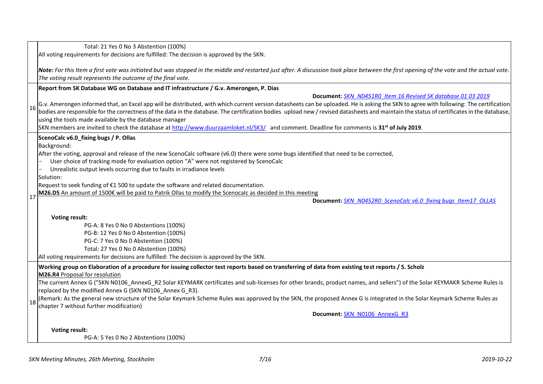|    | Total: 21 Yes 0 No 3 Abstention (100%)                                                                                                                                                    |
|----|-------------------------------------------------------------------------------------------------------------------------------------------------------------------------------------------|
|    | All voting requirements for decisions are fulfilled: The decision is approved by the SKN.                                                                                                 |
|    |                                                                                                                                                                                           |
|    | Note: For this Item a first vote was initiated but was stopped in the middle and restarted just after. A discussion took place between the first opening of the vote and the actual vote. |
|    | The voting result represents the outcome of the final vote.                                                                                                                               |
|    | Report from SK Database WG on Database and IT infrastructure / G.v. Amerongen, P. Dias                                                                                                    |
|    | Document: SKN N0451R0 Item 16 Revised SK database 01 03 2019                                                                                                                              |
| 16 | G.v. Amerongen informed that, an Excel app will be distributed, with which current version datasheets can be uploaded. He is asking the SKN to agree with following: The certification    |
|    | bodies are responsible for the correctness of the data in the database. The certification bodies upload new / revised datasheets and maintain the status of certificates in the database, |
|    | using the tools made available by the database manager                                                                                                                                    |
|    | SKN members are invited to check the database at http://www.duurzaamloket.nl/SK3/ and comment. Deadline for comments is 31 <sup>st</sup> of July 2019.                                    |
|    | ScenoCalc v6.0_fixing bugs / P. Ollas                                                                                                                                                     |
|    | Background:                                                                                                                                                                               |
|    | After the voting, approval and release of the new ScenoCalc software (v6.0) there were some bugs identified that need to be corrected,                                                    |
|    | User choice of tracking mode for evaluation option "A" were not registered by ScenoCalc                                                                                                   |
|    | Unrealistic output levels occurring due to faults in irradiance levels                                                                                                                    |
|    | Solution:                                                                                                                                                                                 |
|    | Request to seek funding of €1 500 to update the software and related documentation.                                                                                                       |
| 17 | M26.D5 An amount of 1500€ will be paid to Patrik Ollas to modify the Scenocalc as decided in this meeting                                                                                 |
|    | Document: SKN N0452R0 ScenoCalc v6.0 fixing bugs Item17 OLLAS                                                                                                                             |
|    | <b>Voting result:</b>                                                                                                                                                                     |
|    | PG-A: 8 Yes 0 No 0 Abstentions (100%)                                                                                                                                                     |
|    | PG-B: 12 Yes 0 No 0 Abstention (100%)                                                                                                                                                     |
|    | PG-C: 7 Yes 0 No 0 Abstention (100%)                                                                                                                                                      |
|    | Total: 27 Yes 0 No 0 Abstention (100%)                                                                                                                                                    |
|    | All voting requirements for decisions are fulfilled: The decision is approved by the SKN.                                                                                                 |
|    | Working group on Elaboration of a procedure for issuing collector test reports based on transferring of data from existing test reports / S. Scholz                                       |
|    | M26.R4 Proposal for resolution                                                                                                                                                            |
|    | The current Annex G ("SKN N0106_AnnexG_R2 Solar KEYMARK certificates and sub-licenses for other brands, product names, and sellers") of the Solar KEYMAKR Scheme Rules is                 |
|    | replaced by the modified Annex G (SKN N0106_Annex G_R3).                                                                                                                                  |
| 18 | (Remark: As the general new structure of the Solar Keymark Scheme Rules was approved by the SKN, the proposed Annex G is integrated in the Solar Keymark Scheme Rules as                  |
|    | chapter 7 without further modification)                                                                                                                                                   |
|    | Document: SKN N0106 AnnexG R3                                                                                                                                                             |
|    |                                                                                                                                                                                           |
|    | <b>Voting result:</b><br>PG-A: 5 Yes 0 No 2 Abstentions (100%)                                                                                                                            |
|    |                                                                                                                                                                                           |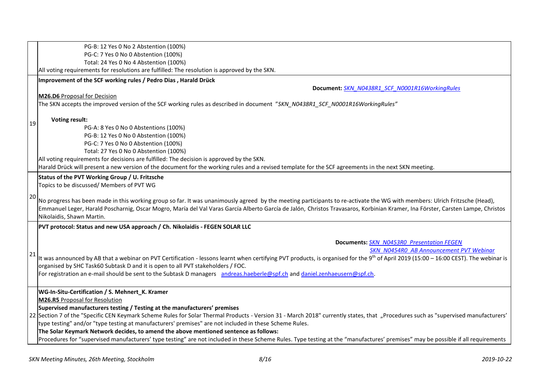|    | PG-B: 12 Yes 0 No 2 Abstention (100%)                                                                                                                                                                                                                                                                                                                                                      |
|----|--------------------------------------------------------------------------------------------------------------------------------------------------------------------------------------------------------------------------------------------------------------------------------------------------------------------------------------------------------------------------------------------|
|    | PG-C: 7 Yes 0 No 0 Abstention (100%)                                                                                                                                                                                                                                                                                                                                                       |
|    | Total: 24 Yes 0 No 4 Abstention (100%)                                                                                                                                                                                                                                                                                                                                                     |
|    | All voting requirements for resolutions are fulfilled: The resolution is approved by the SKN.                                                                                                                                                                                                                                                                                              |
|    | Improvement of the SCF working rules / Pedro Dias, Harald Drück                                                                                                                                                                                                                                                                                                                            |
|    | Document: SKN N0438R1 SCF N0001R16WorkingRules                                                                                                                                                                                                                                                                                                                                             |
|    | M26.D6 Proposal for Decision                                                                                                                                                                                                                                                                                                                                                               |
|    | The SKN accepts the improved version of the SCF working rules as described in document "SKN N0438R1 SCF N0001R16WorkingRules"                                                                                                                                                                                                                                                              |
| 19 | <b>Voting result:</b>                                                                                                                                                                                                                                                                                                                                                                      |
|    | PG-A: 8 Yes 0 No 0 Abstentions (100%)                                                                                                                                                                                                                                                                                                                                                      |
|    | PG-B: 12 Yes 0 No 0 Abstention (100%)                                                                                                                                                                                                                                                                                                                                                      |
|    | PG-C: 7 Yes 0 No 0 Abstention (100%)                                                                                                                                                                                                                                                                                                                                                       |
|    | Total: 27 Yes 0 No 0 Abstention (100%)                                                                                                                                                                                                                                                                                                                                                     |
|    | All voting requirements for decisions are fulfilled: The decision is approved by the SKN.                                                                                                                                                                                                                                                                                                  |
|    | Harald Drück will present a new version of the document for the working rules and a revised template for the SCF agreements in the next SKN meeting.                                                                                                                                                                                                                                       |
|    | Status of the PVT Working Group / U. Fritzsche                                                                                                                                                                                                                                                                                                                                             |
|    | Topics to be discussed/ Members of PVT WG                                                                                                                                                                                                                                                                                                                                                  |
| 20 | No progress has been made in this working group so far. It was unanimously agreed by the meeting participants to re-activate the WG with members: Ulrich Fritzsche (Head),<br>Emmanuel Leger, Harald Poscharnig, Oscar Mogro, María del Val Varas García Alberto García de Jalón, Christos Travasaros, Korbinian Kramer, Ina Förster, Carsten Lampe, Christos<br>Nikolaidis, Shawn Martin. |
|    | PVT protocol: Status and new USA approach / Ch. Nikolaidis - FEGEN SOLAR LLC                                                                                                                                                                                                                                                                                                               |
|    | <b>Documents: SKN N0453R0 Presentation FEGEN</b>                                                                                                                                                                                                                                                                                                                                           |
| 21 | SKN N0454R0 AB Announcement PVT Webinar                                                                                                                                                                                                                                                                                                                                                    |
|    | It was announced by AB that a webinar on PVT Certification - lessons learnt when certifying PVT products, is organised for the 9 <sup>th</sup> of April 2019 (15:00 - 16:00 CEST). The webinar is                                                                                                                                                                                          |
|    | organised by SHC Task60 Subtask D and it is open to all PVT stakeholders / FOC.                                                                                                                                                                                                                                                                                                            |
|    | For registration an e-mail should be sent to the Subtask D managers andreas.haeberle@spf.ch and daniel.zenhaeusern@spf.ch.                                                                                                                                                                                                                                                                 |
|    | WG-In-Situ-Certification / S. Mehnert_K. Kramer                                                                                                                                                                                                                                                                                                                                            |
|    | <b>M26.R5 Proposal for Resolution</b>                                                                                                                                                                                                                                                                                                                                                      |
|    | Supervised manufacturers testing / Testing at the manufacturers' premises                                                                                                                                                                                                                                                                                                                  |
|    | 22 Section 7 of the "Specific CEN Keymark Scheme Rules for Solar Thermal Products - Version 31 - March 2018" currently states, that "Procedures such as "supervised manufacturers'                                                                                                                                                                                                         |
|    | type testing" and/or "type testing at manufacturers' premises" are not included in these Scheme Rules.                                                                                                                                                                                                                                                                                     |
|    | The Solar Keymark Network decides, to amend the above mentioned sentence as follows:                                                                                                                                                                                                                                                                                                       |
|    | Procedures for "supervised manufacturers' type testing" are not included in these Scheme Rules. Type testing at the "manufactures' premises" may be possible if all requirements                                                                                                                                                                                                           |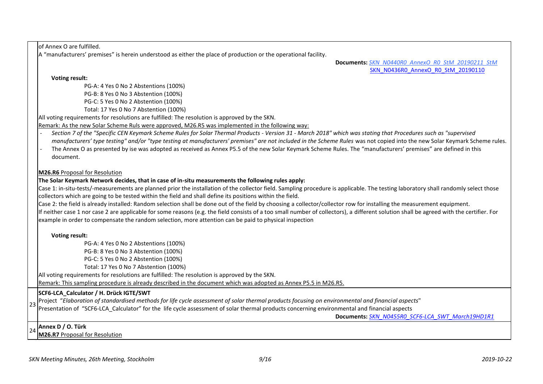of Annex O are fulfilled. A "manufacturers' premises" is herein understood as either the place of production or the operational facility. **Documents:** *[SKN\\_N0440R0\\_AnnexO\\_R0\\_StM\\_20190211\\_StM](http://www.estif.org/solarkeymarknew/images/Files/SKN_N0440R0_AnnexO_R0_StM_20190211_StM.pdf)* [SKN\\_N0436R0\\_AnnexO\\_R0\\_StM\\_20190110](http://www.estif.org/solarkeymarknew/images/Files/SKN_N0436R0_AnnexO_R0_StM_20190110.docx) **Voting result:**  PG-A: 4 Yes 0 No 2 Abstentions (100%) PG-B: 8 Yes 0 No 3 Abstention (100%) PG-C: 5 Yes 0 No 2 Abstention (100%) Total: 17 Yes 0 No 7 Abstention (100%) All voting requirements for resolutions are fulfilled: The resolution is approved by the SKN. Remark: As the new Solar Scheme Ruls were approved, M26.R5 was implemented in the following way: - *Section 7 of the "Specific CEN Keymark Scheme Rules for Solar Thermal Products - Version 31 - March 2018" which was stating that Procedures such as "supervised manufacturers' type testing" and/or "type testing at manufacturers' premises" are not included in the Scheme Rules* was not copied into the new Solar Keymark Scheme rules. The Annex O as presented by ise was adopted as received as Annex P5.5 of the new Solar Keymark Scheme Rules. The "manufacturers' premises" are defined in this document. **M26.R6** Proposal for Resolution **The Solar Keymark Network decides, that in case of in-situ measurements the following rules apply:**  Case 1: in-situ-tests/-measurements are planned prior the installation of the collector field. Sampling procedure is applicable. The testing laboratory shall randomly select those collectors which are going to be tested within the field and shall define its positions within the field. Case 2: the field is already installed: Random selection shall be done out of the field by choosing a collector/collector row for installing the measurement equipment. If neither case 1 nor case 2 are applicable for some reasons (e.g. the field consists of a too small number of collectors), a different solution shall be agreed with the certifier. For example in order to compensate the random selection, more attention can be paid to physical inspection **Voting result:**  PG-A: 4 Yes 0 No 2 Abstentions (100%) PG-B: 8 Yes 0 No 3 Abstention (100%) PG-C: 5 Yes 0 No 2 Abstention (100%) Total: 17 Yes 0 No 7 Abstention (100%) All voting requirements for resolutions are fulfilled: The resolution is approved by the SKN. Remark: This sampling procedure is already described in the document which was adopted as Annex P5.5 in M26.R5. 23 **SCF6-LCA\_Calculator / H. Drück IGTE/SWT** Project "*Elaboration of standardised methods for life cycle assessment of solar thermal products focusing on environmental and financial aspects*" Presentation of "SCF6-LCA\_Calculator" for the life cycle assessment of solar thermal products concerning environmental and financial aspects **Documents:** *[SKN\\_N0455R0\\_SCF6-LCA\\_SWT\\_March19HD1R1](http://www.estif.org/solarkeymarknew/images/Files/190408/SKN_N0455R0_SCF6-LCA_SWT_March19HD1R1.pdf)* <sup>24</sup> **Annex D / O. Türk M26.R7** Proposal for Resolution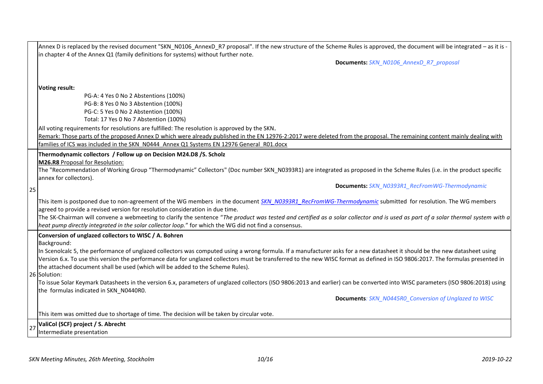|    | Annex D is replaced by the revised document "SKN_N0106_AnnexD_R7 proposal". If the new structure of the Scheme Rules is approved, the document will be integrated - as it is -<br>in chapter 4 of the Annex Q1 (family definitions for systems) without further note. |
|----|-----------------------------------------------------------------------------------------------------------------------------------------------------------------------------------------------------------------------------------------------------------------------|
|    | Documents: SKN_N0106_AnnexD_R7_proposal                                                                                                                                                                                                                               |
|    |                                                                                                                                                                                                                                                                       |
|    |                                                                                                                                                                                                                                                                       |
|    | Voting result:                                                                                                                                                                                                                                                        |
|    | PG-A: 4 Yes 0 No 2 Abstentions (100%)                                                                                                                                                                                                                                 |
|    | PG-B: 8 Yes 0 No 3 Abstention (100%)                                                                                                                                                                                                                                  |
|    | PG-C: 5 Yes 0 No 2 Abstention (100%)                                                                                                                                                                                                                                  |
|    | Total: 17 Yes 0 No 7 Abstention (100%)                                                                                                                                                                                                                                |
|    | All voting requirements for resolutions are fulfilled: The resolution is approved by the SKN.                                                                                                                                                                         |
|    | Remark: Those parts of the proposed Annex D which were already published in the EN 12976-2:2017 were deleted from the proposal. The remaining content mainly dealing with                                                                                             |
|    | families of ICS was included in the SKN N0444 Annex Q1 Systems EN 12976 General R01.docx                                                                                                                                                                              |
|    | Thermodynamic collectors / Follow up on Decision M24.D8 /S. Scholz                                                                                                                                                                                                    |
|    | M26.R8 Proposal for Resolution:                                                                                                                                                                                                                                       |
|    | The "Recommendation of Working Group "Thermodynamic" Collectors" (Doc number SKN_N0393R1) are integrated as proposed in the Scheme Rules (i.e. in the product specific                                                                                                |
|    | annex for collectors).                                                                                                                                                                                                                                                |
| 25 | <b>Documents: SKN N0393R1 RecFromWG-Thermodynamic</b>                                                                                                                                                                                                                 |
|    | This item is postponed due to non-agreement of the WG members in the document SKN N0393R1 RecFromWG-Thermodynamic submitted for resolution. The WG members<br>agreed to provide a revised version for resolution consideration in due time.                           |
|    | The SK-Chairman will convene a webmeeting to clarify the sentence "The product was tested and certified as a solar collector and is used as part of a solar thermal system with a                                                                                     |
|    | heat pump directly integrated in the solar collector loop." for which the WG did not find a consensus.                                                                                                                                                                |
|    | Conversion of unglazed collectors to WISC / A. Bohren                                                                                                                                                                                                                 |
|    | Background:                                                                                                                                                                                                                                                           |
|    | In Scenolcalc 5, the performance of unglazed collectors was computed using a wrong formula. If a manufacturer asks for a new datasheet it should be the new datasheet using                                                                                           |
|    | Version 6.x. To use this version the performance data for unglazed collectors must be transferred to the new WISC format as defined in ISO 9806:2017. The formulas presented in                                                                                       |
|    | the attached document shall be used (which will be added to the Scheme Rules).                                                                                                                                                                                        |
|    | 26 Solution:                                                                                                                                                                                                                                                          |
|    | To issue Solar Keymark Datasheets in the version 6.x, parameters of unglazed collectors (ISO 9806:2013 and earlier) can be converted into WISC parameters (ISO 9806:2018) using                                                                                       |
|    | the formulas indicated in SKN_N0440R0.                                                                                                                                                                                                                                |
|    | <b>Documents: SKN_N0445R0_Conversion of Unglazed to WISC</b>                                                                                                                                                                                                          |
|    | This item was omitted due to shortage of time. The decision will be taken by circular vote.                                                                                                                                                                           |
| 27 | ValiCol (SCF) project / S. Abrecht                                                                                                                                                                                                                                    |
|    | Intermediate presentation                                                                                                                                                                                                                                             |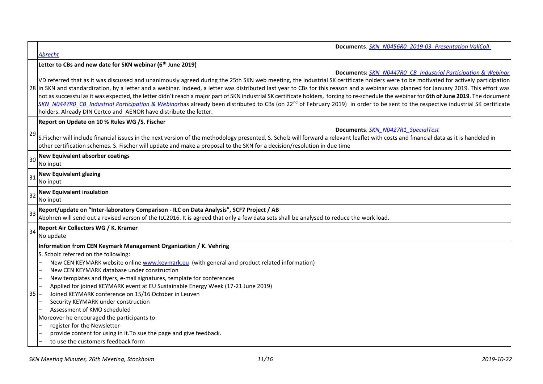|    | Documents: SKN N0456R0 2019-03- Presentation ValiColl-                                                                                                                                                                                                                                                                                                                                                                                                                                                                                                                                                                                                                                                                                                                                                                                                                                                          |
|----|-----------------------------------------------------------------------------------------------------------------------------------------------------------------------------------------------------------------------------------------------------------------------------------------------------------------------------------------------------------------------------------------------------------------------------------------------------------------------------------------------------------------------------------------------------------------------------------------------------------------------------------------------------------------------------------------------------------------------------------------------------------------------------------------------------------------------------------------------------------------------------------------------------------------|
|    | <b>Abrecht</b>                                                                                                                                                                                                                                                                                                                                                                                                                                                                                                                                                                                                                                                                                                                                                                                                                                                                                                  |
|    | Letter to CBs and new date for SKN webinar (6 <sup>th</sup> June 2019)                                                                                                                                                                                                                                                                                                                                                                                                                                                                                                                                                                                                                                                                                                                                                                                                                                          |
|    | Documents: SKN N0447R0 CB Industrial Participation & Webinar<br>VD referred that as it was discussed and unanimously agreed during the 25th SKN web meeting, the industrial SK certificate holders were to be motivated for actively participation<br>28 in SKN and standardization, by a letter and a webinar. Indeed, a letter was distributed last year to CBs for this reason and a webinar was planned for January 2019. This effort was<br>not as successful as it was expected, the letter didn't reach a major part of SKN industrial SK certificate holders, forcing to re-schedule the webinar for 6th of June 2019. The document<br>SKN N0447RO CB Industrial Participation & Webinarhas already been distributed to CBs (on 22 <sup>nd</sup> of February 2019) in order to be sent to the respective industrial SK certificate<br>holders. Already DIN Certco and AENOR have distribute the letter. |
|    | Report on Update on 10 % Rules WG /S. Fischer                                                                                                                                                                                                                                                                                                                                                                                                                                                                                                                                                                                                                                                                                                                                                                                                                                                                   |
|    | Documents: SKN N0427R1 SpecialTest                                                                                                                                                                                                                                                                                                                                                                                                                                                                                                                                                                                                                                                                                                                                                                                                                                                                              |
| 29 | S.Fischer will include financial issues in the next version of the methodology presented. S. Scholz will forward a relevant leaflet with costs and financial data as it is handeled in<br>other certification schemes. S. Fischer will update and make a proposal to the SKN for a decision/resolution in due time                                                                                                                                                                                                                                                                                                                                                                                                                                                                                                                                                                                              |
| 30 | <b>New Equivalent absorber coatings</b>                                                                                                                                                                                                                                                                                                                                                                                                                                                                                                                                                                                                                                                                                                                                                                                                                                                                         |
|    | No input                                                                                                                                                                                                                                                                                                                                                                                                                                                                                                                                                                                                                                                                                                                                                                                                                                                                                                        |
| 31 | <b>New Equivalent glazing</b><br>No input                                                                                                                                                                                                                                                                                                                                                                                                                                                                                                                                                                                                                                                                                                                                                                                                                                                                       |
| 32 | <b>New Equivalent insulation</b><br>No input                                                                                                                                                                                                                                                                                                                                                                                                                                                                                                                                                                                                                                                                                                                                                                                                                                                                    |
| 33 | Report/update on "Inter-laboratory Comparison - ILC on Data Analysis", SCF7 Project / AB                                                                                                                                                                                                                                                                                                                                                                                                                                                                                                                                                                                                                                                                                                                                                                                                                        |
|    | Abohren will send out a revised verson of the ILC2016. It is agreed that only a few data sets shall be analysed to reduce the work load.                                                                                                                                                                                                                                                                                                                                                                                                                                                                                                                                                                                                                                                                                                                                                                        |
| 34 | Report Air Collectors WG / K. Kramer<br>No update                                                                                                                                                                                                                                                                                                                                                                                                                                                                                                                                                                                                                                                                                                                                                                                                                                                               |
|    | Information from CEN Keymark Management Organization / K. Vehring                                                                                                                                                                                                                                                                                                                                                                                                                                                                                                                                                                                                                                                                                                                                                                                                                                               |
|    | S. Scholz referred on the following:                                                                                                                                                                                                                                                                                                                                                                                                                                                                                                                                                                                                                                                                                                                                                                                                                                                                            |
|    | New CEN KEYMARK website online www.keymark.eu (with general and product related information)                                                                                                                                                                                                                                                                                                                                                                                                                                                                                                                                                                                                                                                                                                                                                                                                                    |
|    | New CEN KEYMARK database under construction                                                                                                                                                                                                                                                                                                                                                                                                                                                                                                                                                                                                                                                                                                                                                                                                                                                                     |
|    | New templates and flyers, e-mail signatures, template for conferences                                                                                                                                                                                                                                                                                                                                                                                                                                                                                                                                                                                                                                                                                                                                                                                                                                           |
|    | Applied for joined KEYMARK event at EU Sustainable Energy Week (17-21 June 2019)                                                                                                                                                                                                                                                                                                                                                                                                                                                                                                                                                                                                                                                                                                                                                                                                                                |
| 35 | Joined KEYMARK conference on 15/16 October in Leuven<br>Security KEYMARK under construction                                                                                                                                                                                                                                                                                                                                                                                                                                                                                                                                                                                                                                                                                                                                                                                                                     |
|    | Assessment of KMO scheduled                                                                                                                                                                                                                                                                                                                                                                                                                                                                                                                                                                                                                                                                                                                                                                                                                                                                                     |
|    | Moreover he encouraged the participants to:                                                                                                                                                                                                                                                                                                                                                                                                                                                                                                                                                                                                                                                                                                                                                                                                                                                                     |
|    | register for the Newsletter                                                                                                                                                                                                                                                                                                                                                                                                                                                                                                                                                                                                                                                                                                                                                                                                                                                                                     |
|    | provide content for using in it. To sue the page and give feedback.                                                                                                                                                                                                                                                                                                                                                                                                                                                                                                                                                                                                                                                                                                                                                                                                                                             |
|    | to use the customers feedback form                                                                                                                                                                                                                                                                                                                                                                                                                                                                                                                                                                                                                                                                                                                                                                                                                                                                              |

 $\blacksquare$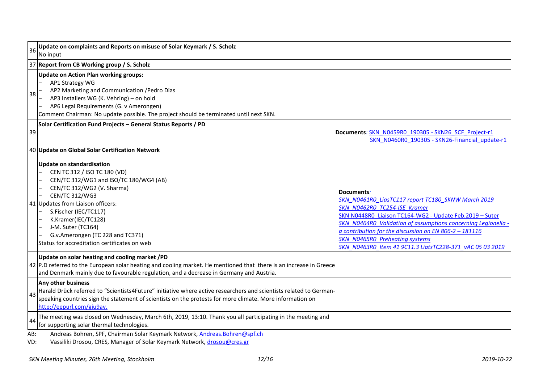| 36  | Update on complaints and Reports on misuse of Solar Keymark / S. Scholz<br>No input                                                                                                                                                                                                                                                                       |                                                                                                                                                                                                                                                                                                                                                                                             |  |  |  |
|-----|-----------------------------------------------------------------------------------------------------------------------------------------------------------------------------------------------------------------------------------------------------------------------------------------------------------------------------------------------------------|---------------------------------------------------------------------------------------------------------------------------------------------------------------------------------------------------------------------------------------------------------------------------------------------------------------------------------------------------------------------------------------------|--|--|--|
|     | 37 Report from CB Working group / S. Scholz                                                                                                                                                                                                                                                                                                               |                                                                                                                                                                                                                                                                                                                                                                                             |  |  |  |
| 38  | <b>Update on Action Plan working groups:</b><br>AP1 Strategy WG<br>AP2 Marketing and Communication / Pedro Dias<br>AP3 Installers WG (K. Vehring) - on hold<br>AP6 Legal Requirements (G. v Amerongen)<br>Comment Chairman: No update possible. The project should be terminated until next SKN.                                                          |                                                                                                                                                                                                                                                                                                                                                                                             |  |  |  |
| 39  | Solar Certification Fund Projects - General Status Reports / PD                                                                                                                                                                                                                                                                                           | Documents: SKN N0459R0 190305 - SKN26 SCF Project-r1<br>SKN N0460R0 190305 - SKN26-Financial update-r1                                                                                                                                                                                                                                                                                      |  |  |  |
|     | 40 Update on Global Solar Certification Network                                                                                                                                                                                                                                                                                                           |                                                                                                                                                                                                                                                                                                                                                                                             |  |  |  |
|     | Update on standardisation<br>CEN TC 312 / ISO TC 180 (VD)<br>CEN/TC 312/WG1 and ISO/TC 180/WG4 (AB)<br>CEN/TC 312/WG2 (V. Sharma)<br><b>CEN/TC 312/WG3</b><br>41 Updates from Liaison officers:<br>S.Fischer (IEC/TC117)<br>K.Kramer(IEC/TC128)<br>J-M. Suter (TC164)<br>G.v.Amerongen (TC 228 and TC371)<br>Status for accreditation certificates on web | Documents:<br>SKN N0461R0 LiasTC117 report TC180 SKNW March 2019<br>SKN N0462R0 TC254-ISE Kramer<br>SKN N0448R0 Liaison TC164-WG2 - Update Feb.2019 - Suter<br>SKN N0464R0 Validation of assumptions concerning Legionella -<br>a contribution for the discussion on EN 806-2 - 181116<br><b>SKN N0465R0 Preheating systems</b><br>SKN N0463R0 Item 41 9C11.3 LiatsTC228-371 vAC 05 03 2019 |  |  |  |
|     | Update on solar heating and cooling market /PD<br>42 P.D referred to the European solar heating and cooling market. He mentioned that there is an increase in Greece<br>and Denmark mainly due to favourable regulation, and a decrease in Germany and Austria.                                                                                           |                                                                                                                                                                                                                                                                                                                                                                                             |  |  |  |
| 43  | <b>Any other business</b><br>Harald Drück referred to "Scientists4Future" initiative where active researchers and scientists related to German-<br>speaking countries sign the statement of scientists on the protests for more climate. More information on<br>http://eepurl.com/giu9av.                                                                 |                                                                                                                                                                                                                                                                                                                                                                                             |  |  |  |
| 44  | The meeting was closed on Wednesday, March 6th, 2019, 13:10. Thank you all participating in the meeting and<br>for supporting solar thermal technologies.                                                                                                                                                                                                 |                                                                                                                                                                                                                                                                                                                                                                                             |  |  |  |
| AB: | Andreas Bohren, SPF, Chairman Solar Keymark Network, Andreas. Bohren@spf.ch                                                                                                                                                                                                                                                                               |                                                                                                                                                                                                                                                                                                                                                                                             |  |  |  |

VD: Vassiliki Drosou, CRES, Manager of Solar Keymark Network, [drosou@cres.gr](mailto:drosou@cres.gr)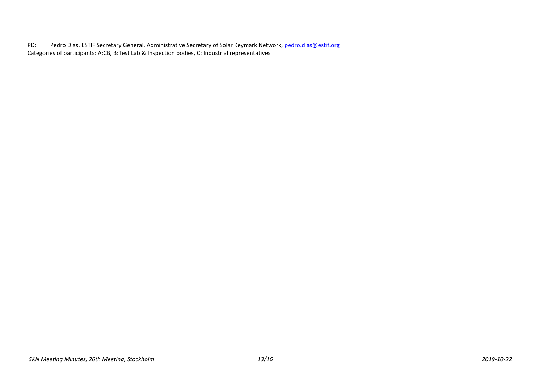PD: Pedro Dias, ESTIF Secretary General, Administrative Secretary of Solar Keymark Network, [pedro.dias@estif.org](mailto:pedro.dias@estif.org) Categories of participants: A:CB, B:Test Lab & Inspection bodies, C: Industrial representatives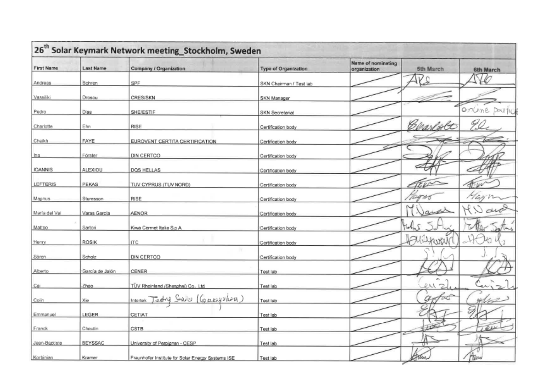|                | 26 <sup>th</sup> Solar Keymark Network meeting_Stockholm, Sweden |                                                    |                             |                                    |                     |               |  |
|----------------|------------------------------------------------------------------|----------------------------------------------------|-----------------------------|------------------------------------|---------------------|---------------|--|
| First Name     | <b>Last Name</b>                                                 | Company / Organization                             | <b>Type of Organization</b> | Name of nominating<br>organization | 5th March           | 6th March     |  |
| Andreas        | Bohren                                                           | SPF                                                | SKN Chairman / Test lab     |                                    | Rs                  | VO            |  |
| Vassiliki      | Drosou                                                           | <b>CRES/SKN</b>                                    | SKN Manager                 |                                    |                     |               |  |
| Pedro          | <b>Dias</b>                                                      | <b>SHE/ESTIF</b>                                   | SKN Secretariat             |                                    |                     | online partic |  |
| Charlotte      | Ehn                                                              | RISE                                               | Certification body          |                                    | Carrielt            |               |  |
| Cheikh         | <b>FAYE</b>                                                      | EUROVENT CERTITA CERTIFICATION                     | Certification body          |                                    |                     |               |  |
| Ina            | Förster                                                          | DIN CERTCO                                         | Certification body          |                                    |                     |               |  |
| <b>IOANNIS</b> | ALEXIOU                                                          | DOS HELLAS                                         | Certification body          |                                    |                     |               |  |
| LEFTERIS       | PEKAS                                                            | TUV CYPRUS (TUV NORD)                              | Certification body          |                                    |                     |               |  |
| Magnus         | Sturesson                                                        | <b>RISE</b>                                        | Certification body          |                                    | 700                 |               |  |
| Maria del Val  | Varas Garcia                                                     | AENOR                                              | Certification body          |                                    |                     |               |  |
| Matteo         | Sartori                                                          | Kiwa Cermet Italia S.p.A.                          | Certification body          |                                    |                     |               |  |
| Henry          | ROSIK                                                            | ITC                                                | Certification body          |                                    | HARIJANAN           |               |  |
| Sären          | Scholz                                                           | 19<br>DIN CERTCO                                   | Certification body          |                                    |                     |               |  |
| Alberto        | García de Jalón                                                  | CENER                                              | Test lab                    |                                    |                     |               |  |
| Cai            | Zhao                                                             | TÜV Rheinland / Shanghai) Co., Ltd.                | Test lab                    |                                    | $\mathcal{D}$<br>ea | للاهد         |  |
| Colin          | Xie                                                              | Sonic $(G_{\text{max}})$ lon<br>Intertek<br>Jezh y | Test lab                    |                                    | $a_{\tilde{v}}$     | m/s           |  |
| Emmanuel       | LEGER                                                            | CETIAT                                             | Test lab                    |                                    |                     |               |  |
| Franck         | Chautin                                                          | CSTB                                               | Test lab                    |                                    |                     | $\mathcal{L}$ |  |
| Jean-Baptiste  | <b>BEYSSAC</b>                                                   | University of Perpignan - CESP                     | Test lab                    |                                    | T٣                  |               |  |
| Korbinian      | Kramer                                                           | Fraunhofer Institute for Solar Energy Systems ISE  | Test lab                    |                                    | Form                | Hilw          |  |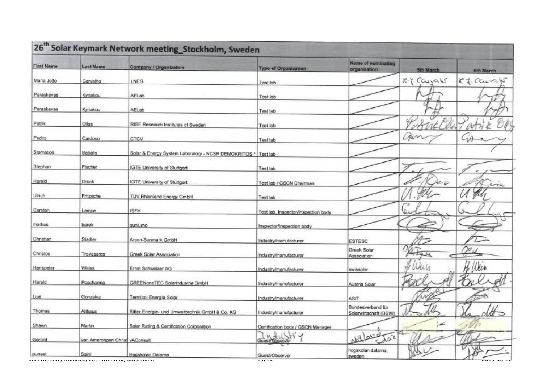| <b>First Name</b> | <b>Last Name</b>                                                        | Company / Organization                               | <b>Type of Organization</b>          | Name of nominating<br>organization.        | 5th March     | 6th March |
|-------------------|-------------------------------------------------------------------------|------------------------------------------------------|--------------------------------------|--------------------------------------------|---------------|-----------|
| Maria João        | Carvalho                                                                | LNEG                                                 | Test lab                             |                                            | IT. T. Cayaks | CJ. Cargy |
| Paraskevas        | Kyriakou                                                                | AELab                                                | Test lab                             |                                            |               |           |
| Paraskevas        | Kyriakou                                                                | AELab                                                | Test lab                             |                                            |               |           |
| Patrik            | Ollas                                                                   | RISE Research Institutes of Sweden                   | Test lab                             |                                            |               |           |
| Pedro             | Cardoso                                                                 | CTCV                                                 | Test lab                             |                                            | LAN           | -16       |
| Stamatios         | Babais                                                                  | Solar & Energy System Laboratory - NCSR DEMOKRITOS * | Test lab                             |                                            |               |           |
| Stephan           | Fischer                                                                 | <b>IGTE University of Stuttgart</b>                  | Test lab                             |                                            |               |           |
| Harald            | <b>Drück</b>                                                            | <b>IGTE University of Stuttgart</b>                  | Fest lab / GSCN Chairman             |                                            | 20            | rek       |
| Ulrich            | Fritzsche                                                               | <b>TUV Rheinland Energy GmbH</b>                     | Test lab                             |                                            |               |           |
| Carsten           | Lampe                                                                   | <b>ISFH</b>                                          | Test lab, Inspector/Inspection body  |                                            | اهد           |           |
| markus            | <b>barek</b>                                                            | sunlumo                                              | Inspector/Inspection body            |                                            |               | o         |
| Christian         | Stadler                                                                 | Arcon-Sunmark GmbH                                   | Industry/manufacturer                | <b>ESTESC</b>                              |               |           |
| Christos          | Travasaros                                                              | Greek Solar Association                              | Industry/manufacturer                | Greek Solar<br>Association                 | Dige          |           |
| Hanspeter         | Weiss                                                                   | Ernst Schweizer AG                                   | Industry/manufacturer                | swissolar                                  | With          | He Wein   |
| Harald            | Poschamig                                                               | <b>GREENoneTEC Solarindustrie GmbH</b>               | Industry/manufacturer                | Austria Solar                              | Kan           |           |
| Luis:             | Gonzalez                                                                | Termicol Energía Solar                               | Industry/manufacturer                | <b>ASIT</b>                                |               |           |
| Thomas            | Althaus                                                                 | Ritter Energie- und Umwelttechnik GmbH & Co. KG      | Industry/manufacturer                | Bundesverband für<br>Solarwirtschaft (BSW) | w             |           |
| Shawn             | Martin                                                                  | Solar Rating & Certification Corporation             | Certification body / GSCN Manager    |                                            | $\approx$     |           |
| Gerard            | van Amerongen Christ vAConsult                                          |                                                      | Guest Cosever Y                      | Millova<br>sdar                            |               |           |
| puneet            | Saint<br>וווטווען וויונגנען וויונגנעט, בטנוו וויונגנעווען, טנטנאווטוווו | Hogskolan Dalama                                     | <b>Guest/Observer</b><br>$1 - 1 = 0$ | hogskolan dalama<br>sweden                 |               |           |